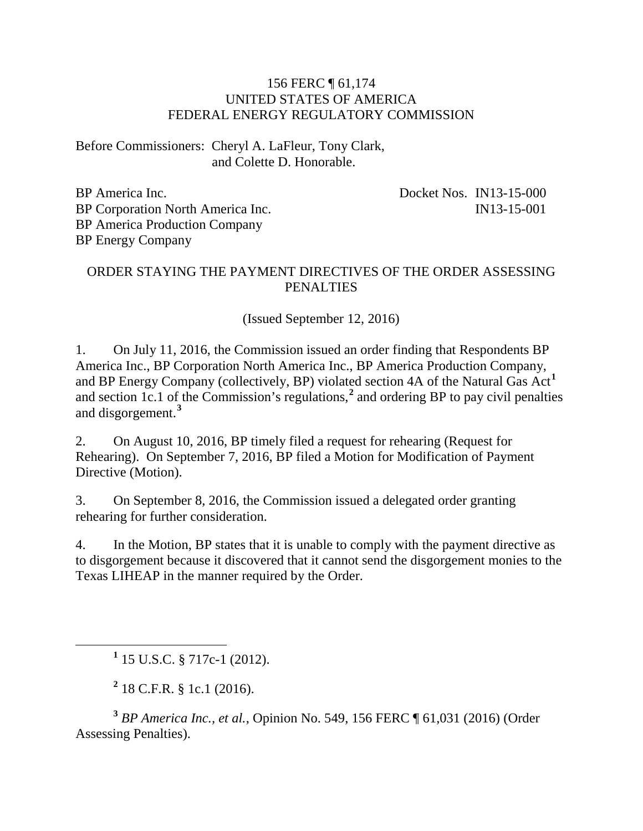## 156 FERC ¶ 61,174 UNITED STATES OF AMERICA FEDERAL ENERGY REGULATORY COMMISSION

Before Commissioners: Cheryl A. LaFleur, Tony Clark, and Colette D. Honorable.

BP America Inc. BP Corporation North America Inc. BP America Production Company BP Energy Company

Docket Nos. IN13-15-000 IN13-15-001

## ORDER STAYING THE PAYMENT DIRECTIVES OF THE ORDER ASSESSING **PENALTIES**

(Issued September 12, 2016)

1. On July 11, 2016, the Commission issued an order finding that Respondents BP America Inc., BP Corporation North America Inc., BP America Production Company, and BP Energy Company (collectively, BP) violated section 4A of the Natural Gas Act**[1](#page-0-0)** and section 1c.1 of the Commission's regulations,**[2](#page-0-1)** and ordering BP to pay civil penalties and disgorgement.**[3](#page-0-2)**

2. On August 10, 2016, BP timely filed a request for rehearing (Request for Rehearing). On September 7, 2016, BP filed a Motion for Modification of Payment Directive (Motion).

3. On September 8, 2016, the Commission issued a delegated order granting rehearing for further consideration.

4. In the Motion, BP states that it is unable to comply with the payment directive as to disgorgement because it discovered that it cannot send the disgorgement monies to the Texas LIHEAP in the manner required by the Order.

**<sup>1</sup>** 15 U.S.C. § 717c-1 (2012).

**<sup>2</sup>** 18 C.F.R. § 1c.1 (2016).

<span id="page-0-2"></span><span id="page-0-1"></span><span id="page-0-0"></span>**<sup>3</sup>** *BP America Inc., et al.*, Opinion No. 549, 156 FERC ¶ 61,031 (2016) (Order Assessing Penalties).